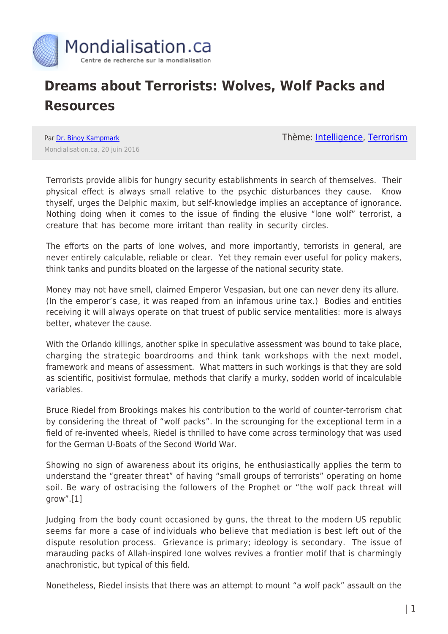

## **Dreams about Terrorists: Wolves, Wolf Packs and Resources**

Par [Dr. Binoy Kampmark](https://www.mondialisation.ca/author/binoy-kampmark) Mondialisation.ca, 20 juin 2016 Thème: **[Intelligence](https://www.mondialisation.ca/theme/intelligence)**, [Terrorism](https://www.mondialisation.ca/theme/9-11-war-on-terrorism)

Terrorists provide alibis for hungry security establishments in search of themselves. Their physical effect is always small relative to the psychic disturbances they cause. Know thyself, urges the Delphic maxim, but self-knowledge implies an acceptance of ignorance. Nothing doing when it comes to the issue of finding the elusive "lone wolf" terrorist, a creature that has become more irritant than reality in security circles.

The efforts on the parts of lone wolves, and more importantly, terrorists in general, are never entirely calculable, reliable or clear. Yet they remain ever useful for policy makers, think tanks and pundits bloated on the largesse of the national security state.

Money may not have smell, claimed Emperor Vespasian, but one can never deny its allure. (In the emperor's case, it was reaped from an infamous urine tax.) Bodies and entities receiving it will always operate on that truest of public service mentalities: more is always better, whatever the cause.

With the Orlando killings, another spike in speculative assessment was bound to take place, charging the strategic boardrooms and think tank workshops with the next model, framework and means of assessment. What matters in such workings is that they are sold as scientific, positivist formulae, methods that clarify a murky, sodden world of incalculable variables.

Bruce Riedel from Brookings makes his contribution to the world of counter-terrorism chat by considering the threat of "wolf packs". In the scrounging for the exceptional term in a field of re-invented wheels, Riedel is thrilled to have come across terminology that was used for the German U-Boats of the Second World War.

Showing no sign of awareness about its origins, he enthusiastically applies the term to understand the "greater threat" of having "small groups of terrorists" operating on home soil. Be wary of ostracising the followers of the Prophet or "the wolf pack threat will grow".[1]

Judging from the body count occasioned by guns, the threat to the modern US republic seems far more a case of individuals who believe that mediation is best left out of the dispute resolution process. Grievance is primary; ideology is secondary. The issue of marauding packs of Allah-inspired lone wolves revives a frontier motif that is charmingly anachronistic, but typical of this field.

Nonetheless, Riedel insists that there was an attempt to mount "a wolf pack" assault on the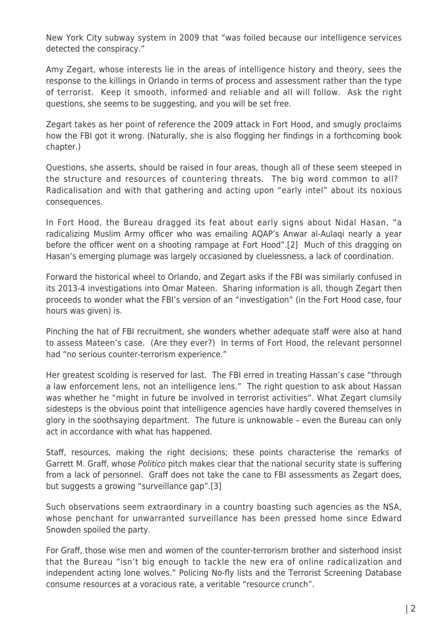New York City subway system in 2009 that "was foiled because our intelligence services detected the conspiracy."

Amy Zegart, whose interests lie in the areas of intelligence history and theory, sees the response to the killings in Orlando in terms of process and assessment rather than the type of terrorist. Keep it smooth, informed and reliable and all will follow. Ask the right questions, she seems to be suggesting, and you will be set free.

Zegart takes as her point of reference the 2009 attack in Fort Hood, and smugly proclaims how the FBI got it wrong. (Naturally, she is also flogging her findings in a forthcoming book chapter.)

Questions, she asserts, should be raised in four areas, though all of these seem steeped in the structure and resources of countering threats. The big word common to all? Radicalisation and with that gathering and acting upon "early intel" about its noxious consequences.

In Fort Hood, the Bureau dragged its feat about early signs about Nidal Hasan, "a radicalizing Muslim Army officer who was emailing AQAP's Anwar al-Aulaqi nearly a year before the officer went on a shooting rampage at Fort Hood".[2] Much of this dragging on Hasan's emerging plumage was largely occasioned by cluelessness, a lack of coordination.

Forward the historical wheel to Orlando, and Zegart asks if the FBI was similarly confused in its 2013-4 investigations into Omar Mateen. Sharing information is all, though Zegart then proceeds to wonder what the FBI's version of an "investigation" (in the Fort Hood case, four hours was given) is.

Pinching the hat of FBI recruitment, she wonders whether adequate staff were also at hand to assess Mateen's case. (Are they ever?) In terms of Fort Hood, the relevant personnel had "no serious counter-terrorism experience."

Her greatest scolding is reserved for last. The FBI erred in treating Hassan's case "through a law enforcement lens, not an intelligence lens." The right question to ask about Hassan was whether he "might in future be involved in terrorist activities". What Zegart clumsily sidesteps is the obvious point that intelligence agencies have hardly covered themselves in glory in the soothsaying department. The future is unknowable – even the Bureau can only act in accordance with what has happened.

Staff, resources, making the right decisions; these points characterise the remarks of Garrett M. Graff, whose Politico pitch makes clear that the national security state is suffering from a lack of personnel. Graff does not take the cane to FBI assessments as Zegart does, but suggests a growing "surveillance gap".[3]

Such observations seem extraordinary in a country boasting such agencies as the NSA, whose penchant for unwarranted surveillance has been pressed home since Edward Snowden spoiled the party.

For Graff, those wise men and women of the counter-terrorism brother and sisterhood insist that the Bureau "isn't big enough to tackle the new era of online radicalization and independent acting lone wolves." Policing No-fly lists and the Terrorist Screening Database consume resources at a voracious rate, a veritable "resource crunch".